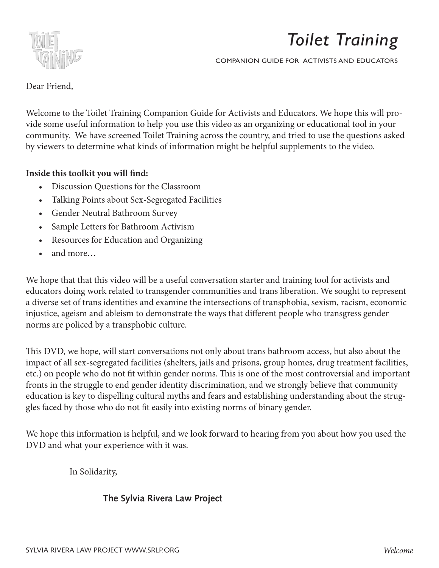

COMPANION GUIDE FOR ACTIVISTS AND EDUCATORS

### Dear Friend,

Welcome to the *Toilet Training* Companion Guide for Activists and Educators. We hope Welcome to the Toilet Training Companion Guide for Activists and Educators. We hope this will provide some useful information to help you use this video as an organizing or educational tool in your community. We have screened Toilet Training across the country, and tried to use the questions asked by viewers to determine what kinds of information might be helpful supplements to the video.

## Inside this toolkit you will find: **Inside this toolkit you will find:**

- Discussion Questions for the Classroom • Discussion Questions for the Classroom
- Talking Points about Sex-Segregated Facilities • Talking Points about Sex-Segregated Facilities
- $\frac{1}{1 + M}$  and  $\frac{1}{1 + M}$  and  $\frac{1}{1 + M}$ • Gender Neutral Bathroom Survey
- Sample Letters for Bathroom Activism
- Resources for Education and Organizing
- $\bullet$  and more... and more…

We hope that that this video will be a useful conversation starter and training tool for activists and interior to their that this victor will be a above conversation starter and training tool for ablivity educators doing work related to transgender communities and trans liberation. We sought to represent a diverse set of trans identities and examine the intersections of transphobia, sexism, racism, economic norms are policed by a transphobic culture. injustice, ageism and ableism to demonstrate the ways that different people who transgress gender

 $\sigma$  drig DVD, we have will start converge tions not only shout trens bethroom a seese, but also she This DVD, we hope, will start conversations not only about trans bathroom access, but also about the  $\mathcal{L}_{\text{max}}$ impact of all sex-segregated facilities (shelters, jails and prisons, group homes, drug treatment facilities, etc.) on people who do not fit within gender norms. This is one of the most controversial and important fronts in the struggle to end gender identity discrimination, and we strongly believe that community gles faced by those who do not fit easily into existing norms of binary gender.  $\mathcal{L}_{\mathcal{A}}$  the video and what you read with it was . education is key to dispelling cultural myths and fears and establishing understanding about the strug-

We hope this information is helpful, and we look forward to hearing from you about how you used the DVD and what your experience with it was.

In Solidarity,

## **The Sylvia Rivera Law Project**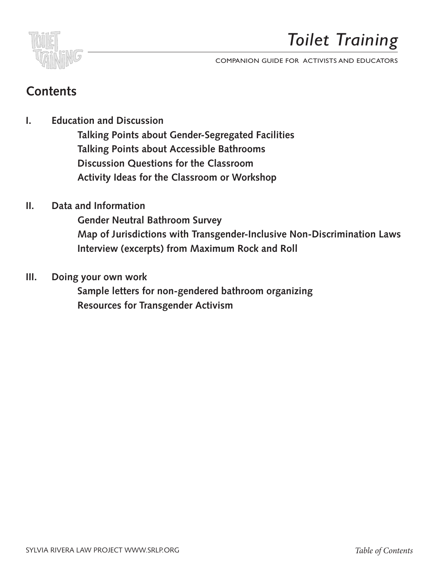

COMPANION GUIDE FOR ACTIVISTS AND EDUCATORS

# Contents

**I.** Education and Discussion Guide for Activists and Activists and Education Guide for Activists and Educators. We have a set of  $\mathbb{R}$ 

 **Talking Points about Gender-Segregated Facilities Talking Points about Accessible Bathrooms Discussion Questions for the Classroom Activity Ideas for the Classroom or Workshop**  $t = 1$ this provide some useful information to help you use this video as an organizing organizing organizing organizing organizing organizing organizing organizing organizing organizing organizing organizing organizing or ialking Points about Gender-Segregated Facilities might be helpful supplements to the video. Discussion Questions for the Classroom

**II.** Data and Information

Gender Neutral Bathroom Survey  **Map of Jurisdictions with Transgender-Inclusive Non-Discrimination Laws Interview (excerpts) from Maximum Rock and Roll**  $R = \frac{1}{2}$ map o We have that the this violation starter and training tool for the and training tool for the starter and training tool for the starter and training tool for the starter and training tool for the starter and training tool f

**III.** Doing your own work a diverse set of the sought to represent a diverse set of the sought to represent a diverse set of the sought of the sought of the sought of the sought of the sound of the sound of the sound of t

**intersections Sample letters for non-gendered bathroom organizing Resources for Transgender Activism** Jampic icticis for non-genuereu bathroom organizmg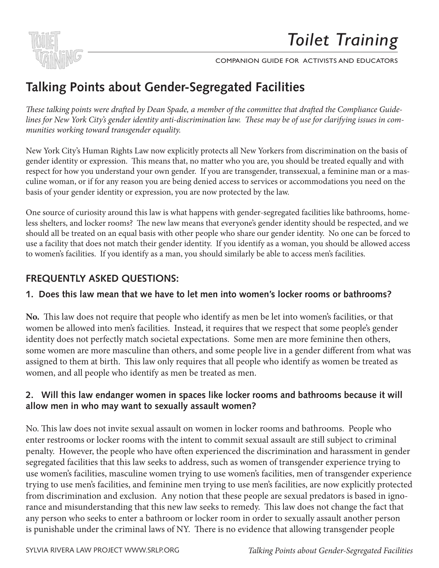

## Dear Friend, **Talking Points about Gender-Segregated Facilities**

lines for New York City's gender identity anti-discrimination law. These may be of use for clarifying issues in communities working toward transgender equality. educational tool in your community. We have screened *Toilet Training* across the country, *These talking points were drafted by Dean Spade, a member of the committee that drafted the Compliance Guide-*

New York City's Human Rights Law now explicitly protects all New Yorkers from discrimination on the basis of From Term bely a Frammin eighte but how engineery proceed an rich Term entries from absormanced on the cases of<br>gender identity or expression. This means that, no matter who you are, you should be treated equally and with respect for now you understand your own gender. In you are transgender, transsexual, a reminine man or a mas<br>culine woman, or if for any reason you are being denied access to services or accommodations you need on the dian, or in for any reason you are being defined basis of your gender identity or expression, you are now protected by the law. respect for how you understand your own gender. If you are transgender, transsexual, a feminine man or a mas-

Gender Neutral Bathroom Survey Sample Letters for Bathroom Activism One source of curiosity around this law is what happens with gender-segregated facilities like bathrooms, home-Resources for Education and Organizing less shelters, and locker rooms? The new law means that everyone's gender identity should be respected, and we should all be treated on an equal basis with other people who share our gender identity. No one can be forced to to women's facilities. If you identify as a man, you should similarly be able to access men's facilities. use a facility that does not match their gender identity. If you identify as a woman, you should be allowed access

## liberation. We sought to represent a diverse set of trans identities and examine the **FREQUENTLY ASKED QUESTIONS:**

### intersections of transphobia, sexism, racism, economic injustice, ageism and ablism to 1. Does this law mean that we have to let men into women's locker rooms or bathrooms?

women be allowed into men's facilities. Instead, it requires that we respect that some people's gender identity does not perfectly match societal expectations. Some men are more feminine then others, some women are more masculine than others, and some people live in a gender different from what was is one of the them at limit. This has subsequence that all negative the sidentifications in the theorie assigned to them at birth. This law only requires that all people who identify as women be treated as women, and all people who identify as men be treated as men. **No.** This law does not require that people who identify as men be let into women's facilities, or that

## allow men in who may want to sexually assault women?  $\,$ **2. Will this law endanger women in spaces like locker rooms and bathrooms because it will**

*Welcome* is punishable under the criminal laws of NY. There is no evidence that allowing transgender people For the tank above not in the senare assault on women in forms the call same stain senare to express the enter restrooms or locker rooms with the intent to commit sexual assault are still subject to criminal penalty. However, the people who have often experienced the discrimination and harassment in gender No. This law does not invite sexual assault on women in locker rooms and bathrooms. People who segregated facilities that this law seeks to address, such as women of transgender experience trying to use women's facilities, masculine women trying to use women's facilities, men of transgender experience trying to use men's facilities, and feminine men trying to use men's facilities, are now explicitly protected from discrimination and exclusion. Any notion that these people are sexual predators is based in ignorance and misunderstanding that this new law seeks to remedy. This law does not change the fact that any person who seeks to enter a bathroom or locker room in order to sexually assault another person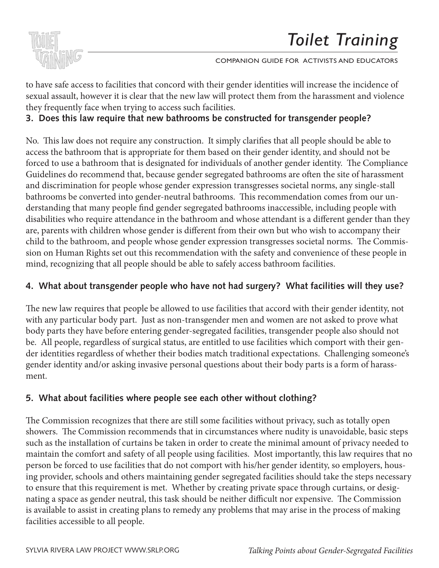

sexual assault, however it is clear that the new law will protect them from the harassment and violence to have safe access to facilities that concord with their gender identities will increase the incidence of they frequently face when trying to access such facilities.

3. Does this law require that new bathrooms be constructed for transgender people? this will provide some useful information to help you use this video as an organizing or

No. This law does not require any construction. It simply clarifies that all people should be able to and the distribution to use the tried tried to use the tried to the tried by viewers the best kinds of information of  $\alpha$  informations that is appropriate for them begad on their condensidentity and should access the bathroom that is appropriate for them based on their gender identity, and should not be<br>Considered: The consideration of the state of the state of the state of the state of the state of the state of Guidelines do recommend that, because gender segregated bathrooms are often the site of harassment and discrimination for people whose gender expression transgresses societal norms, any single-stall bathrooms be converted into gender-neutral bathrooms. This recommendation comes from our understanding that many people find gender segregated bathrooms inaccessible, including people with disabilities who require attendance in the bathroom and whose attendant is a different gender than they are, parents with children whose gender is different from their own but who wish to accompany their and, parents with emitteen whose gender is different from their own out who wish to decompany their<br>child to the bathroom, and people whose gender expression transgresses societal norms. The Commission on Human Rights set out this recommendation with the safety and convenience of these people in mind, recognizing that all people should be able to safely access bathroom facilities. forced to use a bathroom that is designated for individuals of another gender identity. The Compliance

## 4. What about transgender people who have not had surgery? What facilities will they use?

The new law requires that people be allowed to use facilities that accord with their gender identity, not This will start count of the parts fact as non-transposition men and women are not asked to pro body parts they have before entering gender-segregated facilities, transgender people also should not be. All people, regardless of surgical status, are entitled to use facilities which comport with their gender identities regardless of whether their bodies match traditional expectations. Challenging someone's gender identity and/or asking invasive personal questions about their body parts is a form of harass- $\epsilon$  ment. with any particular body part. Just as non-transgender men and women are not asked to prove what ment.

### $\mathbb{R}^n$  information is helpful, and we look forward to hearing from your about how  $\mathbb{R}^n$ **5. What about facilities where people see each other without clothing?**

The Commission recognizes that there are still some facilities without privacy, such as totally open showers. The Commission recommends that in circumstances where nudity is unavoidable, basic steps maintain the comfort and safety of all people using facilities. Most importantly, this law requires that no such as the installation of curtains be taken in order to create the minimal amount of privacy needed to person be forced to use facilities that do not comport with his/her gender identity, so employers, housing provider, schools and others maintaining gender segregated facilities should take the steps necessary to ensure that this requirement is met. Whether by creating private space through curtains, or designating a space as gender neutral, this task should be neither difficult nor expensive. The Commission is available to assist in creating plans to remedy any problems that may arise in the process of making facilities accessible to all people.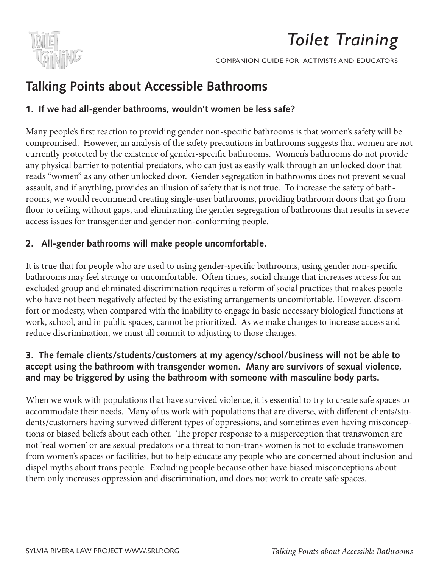

## Dear Friend, **Talking Points about Accessible Bathrooms**

### Welcome to the *Toilet Training* Companion Guide for Activists and Educators. We hope **1. If we had all-gender bathrooms, wouldn't women be less safe?**

Many people's first reaction to providing gender non-specific bathrooms is that women's safety will be education to the community of the contribution of the community. We have seen the community of the country, the country, the country of the country of the contribution of the country, and the country, the country, the coun compromised. However, an analysis of the safety precautions in bathrooms suggests that women are not currently protected by the existence of gender-specific bathrooms. Women's bathrooms do not provide reads "women" as any other unlocked door. Gender segregation in bathrooms does not prevent sexual assault, and if anything, provides an illusion of safety that is not true. To increase the safety of bathrooms, we would recommend creating single-user bathrooms, providing bathroom doors that go from floor to ceiling without gaps, and eliminating the gender segregation of bathrooms that results in severe Sample Letters for transporters for and condex non cor access issues for transgender and gender non-conforming people. any physical barrier to potential predators, who can just as easily walk through an unlocked door that

### and more… **2. All-gender bathrooms will make people uncomfortable.**

It is true that for people who are used to using gender-specific bathrooms, using gender non-specific bathrooms may feel strange or uncomfortable. Often times, social change that increases access for an excluded group and eliminated discrimination requires a reform of social practices that makes people who have not been negatively affected by the existing arrangements uncomfortable. However, discomthe mate necessary light capability method by the embang arrangements anonnel meter rewered, also ent work, school, and in public spaces, cannot be prioritized. As we make changes to increase access and reduce discrimination, we must all commit to adjusting to those changes.

### 3. The female clients/students/customers at my agency/school/business will not be able to accept using the bathroom with transgender women. Many are survivors of sexual violence, and may be triggered by using the bathroom with someone with masculine body parts.  $\frac{1}{2}$  binary into existing norms of binary generators of binary generators of binary generators of binary generators  $\frac{1}{2}$

When we work with populations that have survived violence, it is essential to try to create sale accommodate their needs. Many of us work with populations that are diverse, with different clients/stutions or biased beliefs about each other. The proper response to a misperception that transwomen are from women's spaces or facilities, but to help educate any people who are concerned about inclusion and When we work with populations that have survived violence, it is essential to try to create safe spaces to dents/customers having survived different types of oppressions, and sometimes even having misconcepnot 'real women' or are sexual predators or a threat to non-trans women is not to exclude transwomen dispel myths about trans people. Excluding people because other have biased misconceptions about them only increases oppression and discrimination, and does not work to create safe spaces.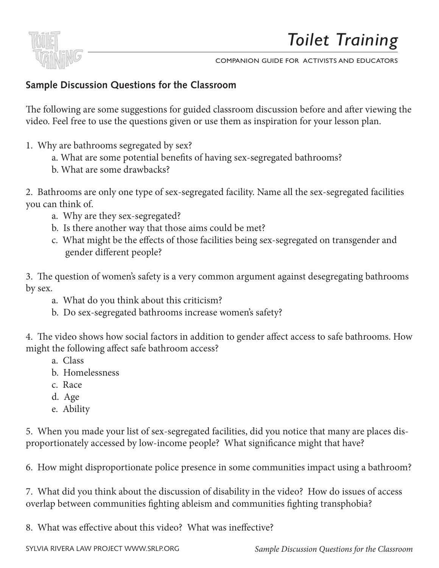

## **Sample Discussion Questions for the Classroom**

The following are some suggestions for guided classroom discussion before and after viewing the video. Feel free to use the questions given or use them as inspiration for your lesson plan. theories the this wave the questions given of use them us inspiration for your resson p

- 1. Why are bathrooms segregated by sex? educational tool in your community. We have screened *Toilet Training* across the country,
- a. What are some potential benefits of having sex-segregated bathrooms?
	- b. What are some drawbacks?

2. Bathrooms are only one type of sex-segregated facility. Name all the sex-segregated facilities you can think of.  $T_{\text{c}}$  only the type of sex-segregated facilities

- a. Why are they sex-segregated?
- b. Is there another way that those aims could be met?
- c. What might be the effects of those facilities being sex-segregated on transgender and gender different people?

3. The question of women's safety is a very common argument against desegregating bathrooms by sex.  $\delta$  of the transport of transport of transport in  $\delta$  and ablism, equal ablism to  $\delta$ 

- $\alpha$  a. What do you think about this criticism?
- b. Do sex-segregated bathrooms increase women's safety?  $\begin{array}{c} \text{u.} \\ \text{v.} \end{array}$

4. The video shows how social factors in addition to gender affect access to safe bathrooms. How might the following affect safe bathroom access?  $\delta$  of the most controversion from internal and important from general struggle to end general struggle to end general struggle to end general struggle to end general struggle to end general struggle to end general strug

- a. Class
- b. Homelessness discrimination, and we strongly believe that community education is key to dispelling  $\mathbf{r}$  to dispelling that community education is key to dispelling that community education is key to dispelling that community educa b. Homelessness
- c. Race  $\epsilon$ . Race
	- d. Age
- e. Ability  $\rho$  Ability  $\mathbf{v}_i$  is defined and what  $\mathbf{v}_i$

5. When you made your list of sex-segregated facilities, did you notice that many are places disproportionately accessed by low-income people? What significance might that have?

6. How might disproportionate police presence in some communities impact using a bathroom?

7. What did you think about the discussion of disability in the video? How do issues of access overlap between communities fighting ableism and communities fighting transphobia?

8. What was effective about this video? What was ineffective?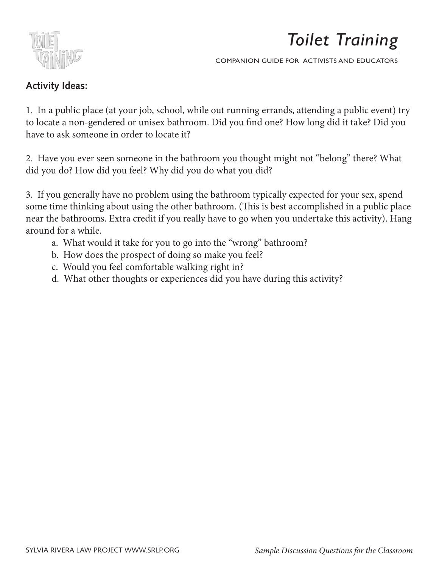

## **Activity Ideas:**

1. In a public place (at your job, school, while out running errands, attending a public event) try to locate a non-gendered or unisex bathroom. Did you find one? How long did it take? Did you have to ask someone in order to locate it? the this will provide the matter will be with the some useful information to help you use the wide of the same organizing organizing organizing organizing organizing organizing organizing organizing organizing organizing o

2. Have you ever seen someone in the bathroom you thought might not "belong" there? What did you do? How did you feel? Why did you do what you did?

3. If you generally have no problem using the bathroom typically expected for your sex, spend some time thinking about using the other bathroom. (This is best accomplished in a public place near the bathrooms. Extra credit if you really have to go when you undertake this activity). Hang around for a while. Discussion Questions for the Classroom i generally have no problem using the bathroo

- a. What would it take for you to go into the "wrong" bathroom?  $M<sup>T</sup>$  more.
- b. How does the prospect of doing so make you feel?
- c. Would you feel comfortable walking right in?
- d. What other thoughts or experiences did you have during this activity? intersections of the transportations of the sexism,  $\theta$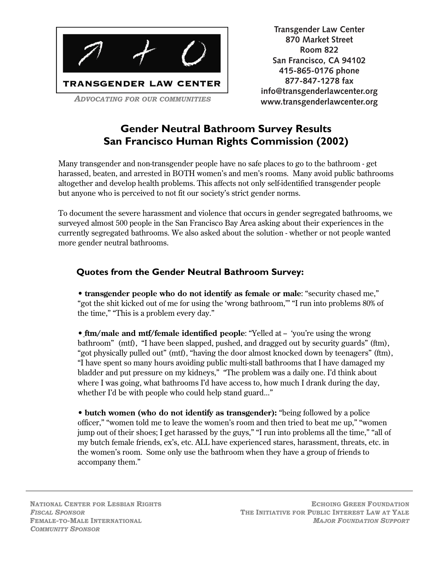

870 Market Street **Room 822** (415) 865-5619 (DYLAN VADE) **San Francisco, CA 94102** (415) 865-0176 (CHRIS DALEY) **415-865-0176 phone** WWW.TRANSGENDERLAWCENTER.ORG **877-847-1278 fax** info@transgenderlawcenter.org **Transgender Law Center www.transgenderlawcenter.org**

## **Gender Neutral Bathroom Survey Results San Francisco Human Rights Commission (2002)**

Many transgender and non-transgender people have no safe places to go to the bathroom - get harassed, beaten, and arrested in BOTH women's and men's rooms. Many avoid public bathrooms altogether and develop health problems. This affects not only self-identified transgender people but anyone who is perceived to not fit our society's strict gender norms.

To document the severe harassment and violence that occurs in gender segregated bathrooms, we surveyed almost 500 people in the San Francisco Bay Area asking about their experiences in the currently segregated bathrooms. We also asked about the solution - whether or not people wanted more gender neutral bathrooms.

## **Quotes from the Gender Neutral Bathroom Survey:**

• **transgender people who do not identify as female or male**: "security chased me," "got the shit kicked out of me for using the 'wrong bathroom,'" "I run into problems 80% of the time," "This is a problem every day."

• **ftm/male and mtf/female identified people**: "Yelled at - 'you're using the wrong bathroom" (mtf), "I have been slapped, pushed, and dragged out by security guards" (ftm), "got physically pulled out" (mtf), "having the door almost knocked down by teenagers" (ftm), "I have spent so many hours avoiding public multi-stall bathrooms that I have damaged my bladder and put pressure on my kidneys," "The problem was a daily one. I'd think about where I was going, what bathrooms I'd have access to, how much I drank during the day, whether I'd be with people who could help stand guard..."

• **butch women (who do not identify as transgender):** "being followed by a police officer," "women told me to leave the women's room and then tried to beat me up," "women jump out of their shoes; I get harassed by the guys," "I run into problems all the time," "all of my butch female friends, ex's, etc. ALL have experienced stares, harassment, threats, etc. in the women's room. Some only use the bathroom when they have a group of friends to accompany them."

NATIONAL CENTER FOR LESBIAN RIGHTS *FISCAL SPONSOR* FEMALE-TO-MALE INTERNATIONAL *COMMUNITY SPONSOR*

ECHOING GREEN FOUNDATION THE INITIATIVE FOR PUBLIC INTEREST LAW AT YALE *MAJOR FOUNDATION SUPPORT*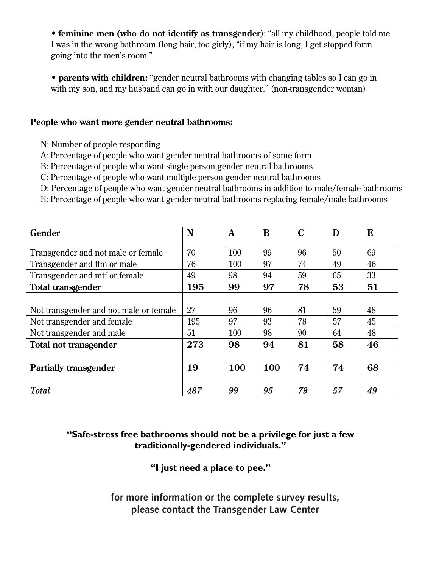• **feminine men (who do not identify as transgender**): "all my childhood, people told me I was in the wrong bathroom (long hair, too girly), "if my hair is long, I get stopped form going into the men's room."

• **parents with children:** "gender neutral bathrooms with changing tables so I can go in with my son, and my husband can go in with our daughter." (non-transgender woman)

### **People who want more gender neutral bathrooms:**

- N: Number of people responding
- A: Percentage of people who want gender neutral bathrooms of some form
- B: Percentage of people who want single person gender neutral bathrooms
- C: Percentage of people who want multiple person gender neutral bathrooms
- D: Percentage of people who want gender neutral bathrooms in addition to male/female bathrooms
- E: Percentage of people who want gender neutral bathrooms replacing female/male bathrooms

| Gender                                 | N   | A   | B   | C  | D  | E  |
|----------------------------------------|-----|-----|-----|----|----|----|
|                                        |     |     |     |    |    |    |
| Transgender and not male or female     | 70  | 100 | 99  | 96 | 50 | 69 |
| Transgender and ftm or male            | 76  | 100 | 97  | 74 | 49 | 46 |
| Transgender and mtf or female          | 49  | 98  | 94  | 59 | 65 | 33 |
| <b>Total transgender</b>               | 195 | 99  | 97  | 78 | 53 | 51 |
|                                        |     |     |     |    |    |    |
| Not transgender and not male or female | 27  | 96  | 96  | 81 | 59 | 48 |
| Not transgender and female             | 195 | 97  | 93  | 78 | 57 | 45 |
| Not transgender and male               | 51  | 100 | 98  | 90 | 64 | 48 |
| Total not transgender                  | 273 | 98  | 94  | 81 | 58 | 46 |
|                                        |     |     |     |    |    |    |
| <b>Partially transgender</b>           | 19  | 100 | 100 | 74 | 74 | 68 |
|                                        |     |     |     |    |    |    |
| Total                                  | 487 | 99  | 95  | 79 | 57 | 49 |

## **"Safe-stress free bathrooms should not be a privilege for just a few traditionally-gendered individuals."**

**"I just need a place to pee."**

please contact the Transgender Law Center **for more information or the complete survey results,**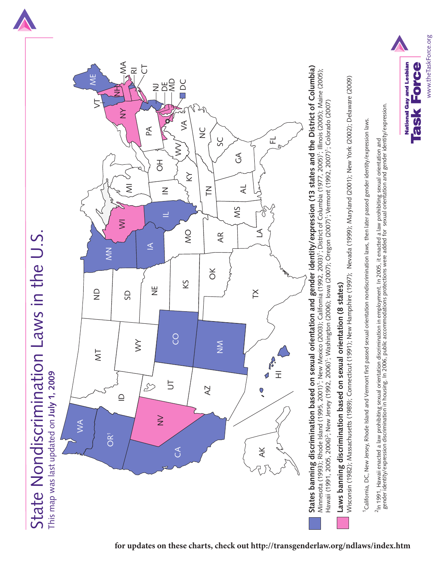

State Nondiscrimination Laws in the U.S.

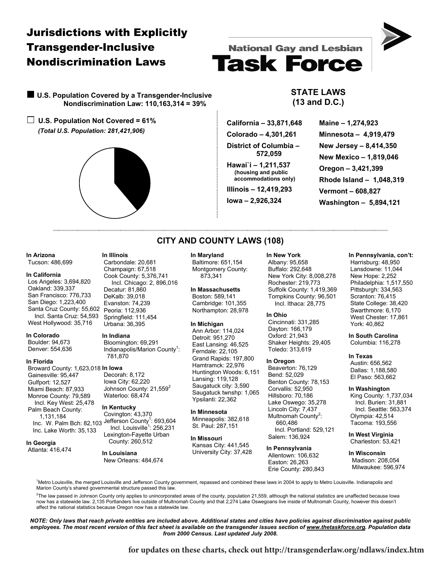## Jurisdictions with Explicitly Transgender-Inclusive Nondiscrimination Laws

 **U.S. Population Covered by a Transgender-Inclusive Nondiscrimination Law: 110,163,314 = 39%** 

**U.S. Population Not Covered = 61%**   *(Total U.S. Population: 281,421,906)* 

**In Arizona**  Tucson: 486,699

**In California** 

**In Colorado**  Boulder: 94,673 Denver: 554,636

**In Florida** 

**In Georgia**  Atlanta: 416,474

Gainesville: 95,447 Gulfport: 12,527 Miami Beach: 87,933 Monroe County: 79,589 Incl. Key West: 25,478 Palm Beach County: 1,131,184

Inc. Lake Worth: 35,133

 Los Angeles: 3,694,820 Oakland: 339,337 San Francisco: 776,733 San Diego: 1,223,400

West Hollywood: 35,716



# **National Gay and Lesbian Task Force**

### **STATE LAWS (13 and D.C.)**

 **California – 33,871,648 Colorado – 4,301,261 District of Columbia – 572,059 Hawai`i – 1,211,537** 

 **(housing and public accommodations only)** 

**Illinois – 12,419,293** 

**Iowa – 2,926,324** 

**Maine – 1,274,923 Minnesota – 4,919,479 New Jersey – 8,414,350 New Mexico – 1,819,046 Oregon – 3,421,399 Rhode Island – 1,048,319 Vermont – 608,827 Washington – 5,894,121** 

### **CITY AND COUNTY LAWS (108)**

#### **In Maryland**

 Baltimore: 651,154 Montgomery County: 873,341

**In Massachusetts**  Boston: 589,141 Cambridge: 101,355 Northampton: 28,978

#### **In Michigan**

 Ann Arbor: 114,024 Detroit: 951,270 East Lansing: 46,525 Ferndale: 22,105 Grand Rapids: 197,800 Hamtramck: 22,976 Huntington Woods: 6,151 Lansing: 119,128 Saugatuck city: 3,590 Saugatuck twnshp: 1,065 Ypsilanti: 22,362

**In Minnesota**  Minneapolis: 382,618 St. Paul: 287,151

**In Missouri**  Kansas City: 441,545 University City: 37,428

#### **In New York** Albany: 95,658 Buffalo: 292,648 New York City: 8,008,278 Rochester: 219,773 Suffolk County: 1,419,369 Tompkins County: 96,501 Incl. Ithaca: 28,775

**In Ohio**  Cincinnati: 331,285 Dayton: 166,179 Oxford: 21,943 Shaker Heights: 29,405 Toledo: 313,619

#### **In Oregon**

 Beaverton: 76,129 Bend: 52,029 Benton County: 78,153 Corvallis: 52,950 Hillsboro: 70,186 Lake Oswego: 35,278 Lincoln City: 7,437 Multnomah County<sup>2</sup>: 660,486 Incl. Portland: 529,121 Salem: 136,924

**In Pennsylvania**  Allentown: 106,632 Easton: 26,263 Erie County: 280,843

### **In Pennsylvania, con't:**

 Harrisburg: 48,950 Lansdowne: 11,044 New Hope: 2,252 Philadelphia: 1,517,550 Pittsburgh: 334,563 Scranton: 76,415 State College: 38,420 Swarthmore: 6,170 West Chester: 17,861 York: 40,862

**In South Carolina**  Columbia: 116,278

#### **In Texas**

 Austin: 656,562 Dallas: 1,188,580 El Paso: 563,662

### **In Washington**

 King County: 1,737,034 Incl. Burien: 31,881 Incl. Seattle: 563,374 Olympia: 42,514 Tacoma: 193,556

**In West Virginia**  Charleston: 53,421

**In Wisconsin**  Madison: 208,054 Milwaukee: 596,974

<sup>1</sup>Metro Louisville, the merged Louisville and Jefferson County government, repassed and combined these laws in 2004 to apply to Metro Louisville. Indianapolis and Marion County's shared governmental structure passed this law.

<sup>2</sup>The law passed in Johnson County only applies to unincorporated areas of the county, population 21,559, although the national statistics are unaffected because Iowa<br>now has a statewide law. 2,135 Portlanders live outsid affect the national statistics because Oregon now has a statewide law.

*NOTE: Only laws that reach private entities are included above. Additional states and cities have policies against discrimination against public employees. The most recent version of this fact sheet is available on the transgender issues section of www.thetaskforce.org. Population data from 2000 Census. Last updated July 2008.* 

Carbondale: 20,681 Champaign: 67,518 Cook County: 5,376,741 Incl. Chicago: 2, 896,016 Decatur: 81,860 DeKalb: 39,018 Evanston: 74,239

 Santa Cruz County: 55,602 Incl. Santa Cruz: 54,593 Peoria: 112,936 Springfield: 111,454 Urbana: 36,395

#### **In Indiana**

**In Illinois** 

 Bloomington: 69,291 Indianapolis/Marion County<sup>1</sup>: 781,870

Broward County: 1,623,018 **In Iowa**  Decorah: 8,172

 Iowa City: 62,220 Johnson County: 21,559<sup>2</sup> Waterloo: 68,474

#### **In Kentucky**

Inc. W. Palm Bch: 82,103 Jefferson County<sup>1</sup>: 693,604<br>Inc. W. Palm Bch: 82,103 Incl. Louisville<sup>1</sup>: 256,231 Covington: 43,370 Lexington-Fayette Urban County: 260,512

> **In Louisiana**  New Orleans: 484,674

> > **for updates on these charts, check out http://transgenderlaw.org/ndlaws/index.htm**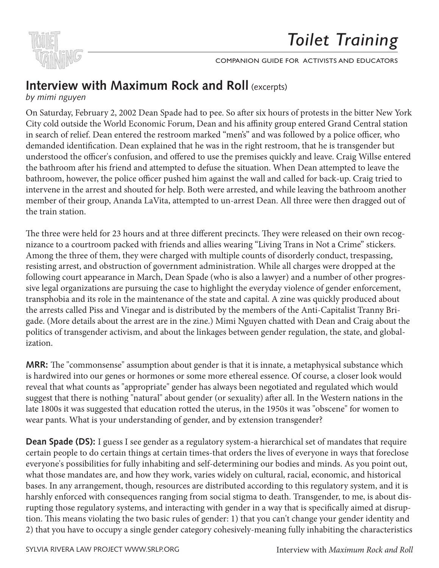

# **Interview with Maximum Rock and Roll (excerpts)**

by mimi nguyen

On Saturday, February 2, 2002 Dean Spade had to pee. So after six hours of protests in the bitter New York Companion Guide for Activists and Educators. We had the companion Guide for Activists and Educators. We had the com City cold outside the World Economic Forum, Dean and his affinity group entered Grand Central station in search of relief. Dean entered the restroom marked "men's" and was followed by a police officer, who demanded identification. Dean explained that he was in the right restroom, that he is transgender but understood the officer's confusion, and offered to use the premises quickly and leave. Craig Willse entered the bathroom after his friend and attempted to defuse the situation. When Dean attempted to leave the bathroom, however, the police officer pushed him against the wall and called for back-up. Craig tried to intervene in the arrest and shouted for help. Both were arrested, and while leaving the bathroom another member of their group, Ananda LaVita, attempted to un-arrest Dean. All three were then dragged out of the train station. Gener Group, manual Battan, allen  $S($ athron $)$ 

The three were held for 23 hours and at three different precincts. They were released on their own recognizance to a courtroom packed with friends and allies wearing "Living Trans in Not a Crime" stickers. Among the three of them, they were charged with multiple counts of disorderly conduct, trespassing, resisting arrest, and obstruction of government administration. While all charges were dropped at the following court appearance in March, Dean Spade (who is also a lawyer) and a number of other progressive legal organizations are pursuing the case to highlight the everyday violence of gender enforcement, transphobia and its role in the maintenance of the state and capital. A zine was quickly produced about the arrests called Piss and Vinegar and is distributed by the members of the Anti-Capitalist Tranny Brigade. (More details about the arrest are in the zine.) Mimi Nguyen chatted with Dean and Craig about the start conversations not only about the start conversations of the start conversations of the start conversation of th politics of transgender activism, and about the linkages between gender regulation, the state, and global-<br>. ization.  $R = \begin{bmatrix} 1 & 1 & 1 & 0 \\ 0 & 0 & 0 & 0 \\ 0 & 0 & 0 & 0 \\ 0 & 0 & 0 & 0 \\ 0 & 0 & 0 & 0 \\ 0 & 0 & 0 & 0 \\ 0 & 0 & 0 & 0 \\ 0 & 0 & 0 & 0 \\ 0 & 0 & 0 & 0 \\ 0 & 0 & 0 & 0 \\ 0 & 0 & 0 & 0 & 0 \\ 0 & 0 & 0 & 0 & 0 \\ 0 & 0 & 0 & 0 & 0 \\ 0 & 0 & 0 & 0 & 0 \\ 0 & 0 & 0 & 0 & 0 & 0 \\ 0 & 0 & 0 & 0 & 0$ e were held fo  $A$ zation.

**MRR:** The "commonsense" assumption about gender is that it is innate, a metaphysical substance which is hardwired into our genes or hormones or some more ethereal essence. Of course, a closer look would reveal that what counts as "appropriate" gender has always been negotiated and regulated which would suggest that there is nothing "natural" about gender (or sexuality) after all. In the Western nations in the late 1800s it was suggested that education rotted the uterus, in the 1950s it was "obscene" for women to wear pants. What is your understanding of gender, and by extension transgender?

**Dean Spade (DS):** I guess I see gender as a regulatory system-a hierarchical set of mandates that require certain people to do certain things at certain times-that orders the lives of everyone in ways that foreclose everyone's possibilities for fully inhabiting and self-determining our bodies and minds. As you point out, what those mandates are, and how they work, varies widely on cultural, racial, economic, and historical bases. In any arrangement, though, resources are distributed according to this regulatory system, and it is harshly enforced with consequences ranging from social stigma to death. Transgender, to me, is about disrupting those regulatory systems, and interacting with gender in a way that is specifically aimed at disruption. This means violating the two basic rules of gender: 1) that you can't change your gender identity and 2) that you have to occupy a single gender category cohesively-meaning fully inhabiting the characteristics *Welcome* In Solidarity,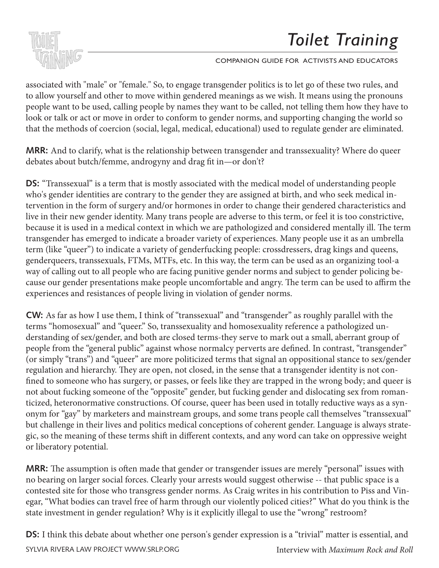



associated with "male" or "female." So, to engage transgender politics is to let go of these two rules, and to allow yourself and other to move within gendered meanings as we wish. It means using the pronouns people want to be used, calling people by names they want to be called, not telling them how they have to look or talk or act or move in order to conform to gender norms, and supporting changing the world so that the methods of coercion (social, legal, medical, educational) used to regulate gender are eliminated. educational tool in your community. We have screened *Toilet Training* across the country,

MRR: And to clarify, what is the relationship between transgender and transsexuality? Where do queer debates about butch/femme, androgyny and drag fit in—or don't?

**DS:** "Transsexual" is a term that is mostly associated with the medical model of understanding people who's gender identities are contrary to the gender they are assigned at birth, and who seek medical intervention in the form of surgery and/or hormones in order to change their gendered characteristics and live in their new gender identity. Many trans people are adverse to this term, or feel it is too constrictive, because it is used in a medical context in which we are pathologized and considered mentally ill. The term transgender has emerged to indicate a broader variety of experiences. Many people use it as an umbrella term (like "queer") to indicate a variety of genderfucking people: crossdressers, drag kings and queens, genderqueers, transsexuals, FTMs, MTFs, etc. In this way, the term can be used as an organizing tool-a way of calling out to all people who are facing punitive gender norms and subject to gender policing because our gender presentations make people uncomfortable and angry. The term can be used to affirm the experiences and resistances of people living in violation of gender norms. Inside this toolkit you will find: nssexual is a term that is mostly associated liberation. We sought to an experiment and the representative general infinition and subject to general the set<br>In the trans in the proposalities and examine the set of the base of the set of the trans is a hour ause our genuer presentations make people uncomfortable and angry. The term can be used

**CW:** As far as how I use them, I think of "transsexual" and "transgender" as roughly parallel with the terms "homosexual" and "queer." So, transsexuality and homosexuality reference a pathologized understanding of sex/gender, and both are closed terms-they serve to mark out a small, aberrant group of people from the "general public" against whose normalcy perverts are defined. In contrast, "transgender" (or simply "trans") and "queer" are more politicized terms that signal an oppositional stance to sex/gender regulation and hierarchy. They are open, not closed, in the sense that a transgender identity is not con-<br>regulation and hierarchy. They are open, not closed, in the sense that a transgender identity is not conregulation and incruitely. They are open, not closed, in the sense that a transgender nethtly is not con-<br>fined to someone who has surgery, or passes, or feels like they are trapped in the wrong body; and queer is not about fucking someone of the "opposite" gender, but fucking gender and dislocating sex from romanticized, heteronormative constructions. Of course, queer has been used in totally reductive ways as a synonym for "gay" by marketers and mainstream groups, and some trans people call themselves "transsexual" but challenge in their lives and politics medical conceptions of coherent gender. Language is always strategic, so the meaning of these terms shift in different contexts, and any word can take on oppressive weight or liberatory potential. the who has surgerly, or passes, or letts like they are traj Dean Spade

**MRR:** The assumption is often made that gender or transgender issues are merely "personal" issues with no bearing on larger social forces. Clearly your arrests would suggest otherwise -- that public space is a contested site for those who transgress gender norms. As Craig writes in his contribution to Piss and Vinegar, "What bodies can travel free of harm through our violently policed cities?" What do you think is the state investment in gender regulation? Why is it explicitly illegal to use the "wrong" restroom?

DS: I think this debate about whether one person's gender expression is a "trivial" matter is essential, and

SYLVIA RIVERA LAW PROJECT WWW.SRLP.ORG **Interview with** *Maximum Rock and Roll*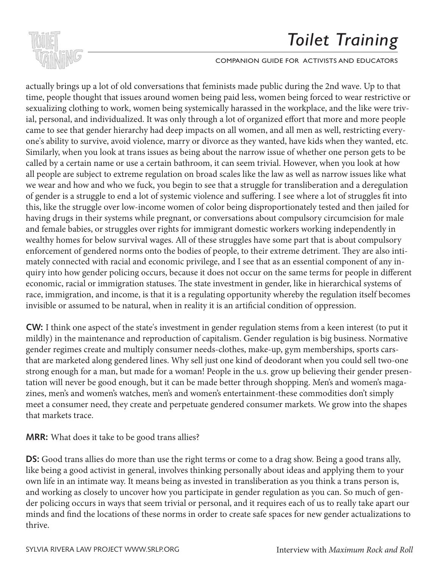

### COMPANION GUIDE FOR ACTIVISTS AND EDUCATORS

actually brings up a lot of old conversations that feminists made public during the 2nd wave. Up to that time, people thought that issues around women being paid less, women being forced to wear restrictive or sexualizing clothing to work, women being systemically harassed in the workplace, and the like were trivial, personal, and individualized. It was only through a lot of organized effort that more and more people came to see that gender hierarchy had deep impacts on all women, and all men as well, restricting everyone's ability to survive, avoid violence, marry or divorce as they wanted, have kids when they wanted, etc. Similarly, when you look at trans issues as being about the narrow issue of whether one person gets to be called by a certain name or use a certain bathroom, it can seem trivial. However, when you look at how all people are subject to extreme regulation on broad scales like the law as well as narrow issues like what we wear and how and who we fuck, you begin to see that a struggle for transliberation and a deregulation of gender is a struggle to end a lot of systemic violence and suffering. I see where a lot of struggles fit into this, like the struggle over low-income women of color being disproportionately tested and then jailed for having drugs in their systems while pregnant, or conversations about compulsory circumcision for male and female babies, or struggles over rights for immigrant domestic workers working independently in wealthy homes for below survival wages. All of these struggles have some part that is about compulsory enforcement of gendered norms onto the bodies of people, to their extreme detriment. They are also intiemorement of geneered norms one the bodies of people, to their extreme detriment. They are diso introduced with racial and economic privilege, and I see that as an essential component of any inquiry into how gender policing occurs, because it does not occur on the same terms for people in different economic, racial or immigration statuses. The state investment in gender, like in hierarchical systems of race, immigration, and income, is that it is a regulating opportunity whereby the regulation itself becomes invisible or assumed to be natural, when in reality it is an artificial condition of oppression. minariy, when you look at trans issues as being  $\frac{1}{2}$  and the communities and exploring work relations and the transmission of the transmission of the transmission of the transmission of the transmission of the transmission of the transmission of the transmission o

CW: I think one aspect of the state's investment in gender regulation stems from a keen interest (to put it mildly) in the maintenance and reproduction of capitalism. Gender regulation is big business. Normative gender regimes create and multiply consumer needs-clothes, make-up, gym memberships, sports carsthat are marketed along gendered lines. Why sell just one kind of deodorant when you could sell two-one that are marketed along gendered lines. Why sell just one kind of deodorant when you could sell two-one strong enough for a man, but made for a woman! People in the u.s. grow up believing their gender presentation will never be good enough, but it can be made better through shopping. Men's and women's magazines, men's and women's watches, men's and women's entertainment-these commodities don't simply meet a consumer need, they create and perpetuate gendered consumer markets. We grow into the shapes that markets trace. dia discrimination diong generica nnes. They sen just one which or decodorant when you come cultural mythological man, but made for a woman: People in the u.s. grow up beneving their g

MRR: What does it take to be good trans allies?

DS: Good trans allies do more than use the right terms or come to a drag show. Being a good trans ally, like being a good activist in general, involves thinking personally about ideas and applying them to your own life in an intimate way. It means being as invested in transliberation as you think a trans person is, and working as closely to uncover how you participate in gender regulation as you can. So much of gender policing occurs in ways that seem trivial or personal, and it requires each of us to really take apart our minds and find the locations of these norms in order to create safe spaces for new gender actualizations to thrive.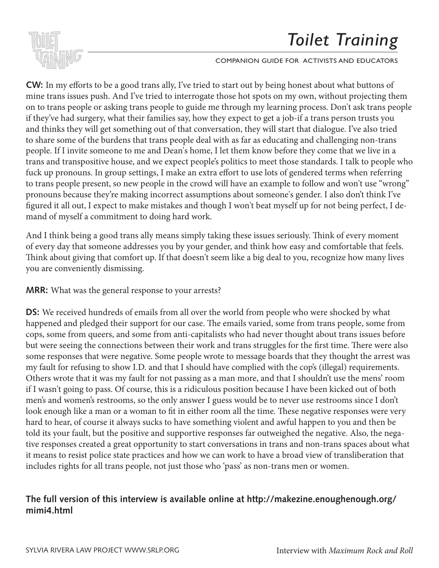

### COMPANION GUIDE FOR ACTIVISTS AND EDUCATORS

**CW:** In my efforts to be a good trans ally, I've tried to start out by being honest about what buttons of mine trans issues push. And I've tried to interrogate those hot spots on my own, without projecting them on to trans people or asking trans people to guide me through my learning process. Don't ask trans people if they've had surgery, what their families say, how they expect to get a job-if a trans person trusts you and thinks they will get something out of that conversation, they will start that dialogue. I've also tried to share some of the burdens that trans people deal with as far as educating and challenging non-trans people. If I invite someone to me and Dean's home, I let them know before they come that we live in a people. If I have someone to the and Dean's home, I fet them have volved they come that we nee in a<br>trans and transpositive house, and we expect people's politics to meet those standards. I talk to people who fuck up pronouns. In group settings, I make an extra effort to use lots of gendered terms when referring the state of the state of the state of the state of the state of the state of the state of the state of the state of to trans people present, so new people in the crowd will have an example to follow and won't use "wrong" pronouns because they're making incorrect assumptions about someone's gender. I also don't think I've figured it all out, I expect to make mistakes and though I won't beat myself up for not being perfect, I demand of myself a commitment to doing hard work.

And I think being a good trans ally means simply taking these issues seriously. Think of every moment of every day that someone addresses you by your gender, and think how easy and comfortable that feels. Think about giving that comfort up. If that doesn't seem like a big deal to you, recognize how many lives you are conveniently dismissing. The communities and educators do in the community of the communities and transme  $\mathcal{L}$  sought to represent a diverse set of trans identities and examine the set of trans identities and examine the set of trans in  $\mathcal{L}$ 

**MRR:** What was the general response to your arrests? demonstrate that the way the general response to your arrests.

**DS:** We received hundreds of emails from all over the world from people who were shocked by what happened and pledged their support for our case. The emails varied, some from trans people, some from cops, some from queers, and some from anti-capitalists who had never thought about trans issues before but were seeing the connections between their work and trans struggles for the first time. There were also some responses that were negative. Some people wrote to message boards that they thought the arrest was my fault for refusing to show I.D. and that I should have complied with the cop's (illegal) requirements. Others wrote that it was my fault for not passing as a man more, and that I shouldn't use the mens' room if I wasn't going to pass. Of course, this is a ridiculous position because I have been kicked out of both men's and women's restrooms, so the only answer I guess would be to never use restrooms since I don't lead and we look for the strong to hope the strong from your control is hearing from your control is the strong thought look enough like a man or a woman to fit in either room all the time. These negative responses were very leader hard to hear, of course it always sucks to have something violent and awful happen to you and then be told its your fault, but the positive and supportive responses far outweighed the negative. Also, the negative responses created a great opportunity to start conversations in trans and non-trans spaces about what it means to resist police state practices and how we can work to have a broad view of transliberation that includes rights for all trans people, not just those who 'pass' as non-trans men or women.  $\sum_{i=1}^{n}$ 

## **The full version of this interview is available online at http://makezine.enoughenough.org/ mimi4.html**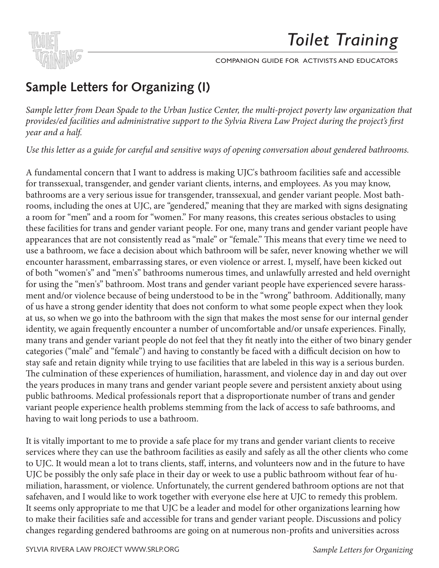

## **Sample Letters for Organizing (I)** Dear Friend,

*Sample letter from Dean Spade to the Urban Justice Center, the multi-project poverty law organization that*  provides/ed facilities and administrative support to the Sylvia Rivera Law Project during the project's first *year and a half.*  the video, on faculties and warming that is support to the sfirm terrent liam 1 to feel and the pro educational tool in your community. We have screened *Toilet Training* across the country,

Use this letter as a guide for careful and sensitive ways of opening conversation about gendered bathrooms.  $\sum_{i=1}^{n}$ 

A fundamental concern that I want to address is making UJC's bathroom facilities safe and accessible for transsexual, transgender, and gender variant clients, interns, and employees. As you may know, bathrooms are a very serious issue for transgender, transsexual, and gender variant people. Most bathrooms, including the ones at UJC, are "gendered," meaning that they are marked with signs designating a room for "men" and a room for "women." For many reasons, this creates serious obstacles to using these facilities for trans and gender variant people. For one, many trans and gender variant people have appearances that are not consistently read as "male" or "female." This means that every time we need to use a bathroom, we face a decision about which bathroom will be safer, never knowing whether we will alse a bathwoom, we face a decision about which bathfoom will be safel, hever knowing whether we will<br>encounter harassment, embarrassing stares, or even violence or arrest. I, myself, have been kicked out of both "women's" and "men's" bathrooms numerous times, and unlawfully arrested and held overnight for using the "men's" bathroom. Most trans and gender variant people have experienced severe harassment and/or violence because of being understood to be in the "wrong" bathroom. Additionally, many of us have a strong gender identity that does not conform to what some people expect when they look at us, so when we go into the bathroom with the sign that makes the most sense for our internal gender identity, we again frequently encounter a number of uncomfortable and/or unsafe experiences. Finally, many trans and gender variant people do not feel that they fit neatly into the either of two binary gender categories ("male" and "female") and having to constantly be faced with a difficult decision on how to stay safe and retain dignity while trying to use facilities that are labeled in this way is a serious burden. The culmination of these experiences of humiliation, harassment, and violence day in and day out over the years produces in many trans and gender variant people severe and persistent anxiety about using public bathrooms. Medical professionals report that a disproportionate number of trans and gender variant people experience health problems stemming from the lack of access to safe bathrooms, and having to wait long periods to use a bathroom. activities and education of the transmitted to the transfer relation of the transition of the transition of the transition of the transition of the transition of the transition of the transition of the transition of the t alegories (male and female ) and having to constantly be faced with a difficult decision on he

It is vitally important to me to provide a safe place for my trans and gender variant clients to receive services where they can use the bathroom facilities as easily and safely as all the other clients who come to UJC. It would mean a lot to trans clients, staff, interns, and volunteers now and in the future to have UJC be possibly the only safe place in their day or week to use a public bathroom without fear of humiliation, harassment, or violence. Unfortunately, the current gendered bathroom options are not that safehaven, and I would like to work together with everyone else here at UJC to remedy this problem. It seems only appropriate to me that UJC be a leader and model for other organizations learning how to make their facilities safe and accessible for trans and gender variant people. Discussions and policy changes regarding gendered bathrooms are going on at numerous non-profits and universities across *Welcome*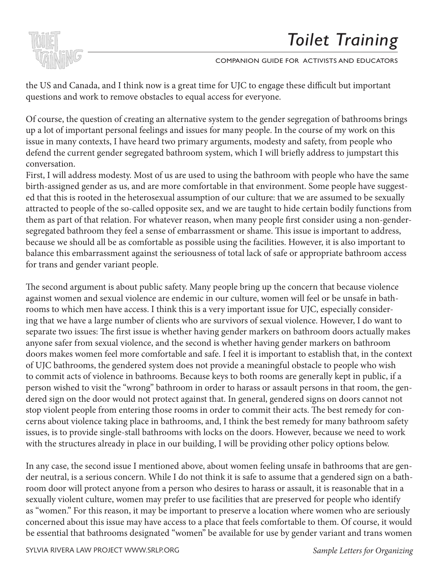



questions and work to remove obstacles to equal access for everyone. the US and Canada, and I think now is a great time for UJC to engage these difficult but important

Of course, the question of creating an alternative system to the gender segregation of bathrooms brings up a lot of important personal feelings and issues for many people. In the course of my work on this issue in many contexts, I have heard two primary arguments, modesty and safety, from people who and tried to use the second tried to primary arguments, modesty and salety, non peop defend the current gender segregated bathroom system, which I will briefly address to jumpstart this conversation.

First, I will address modesty. Most of us are used to using the bathroom with people who have the same birth-assigned gender as us, and are more comfortable in that environment. Some people have suggested that this is rooted in the heterosexual assumption of our culture: that we are assumed to be sexually attracted to people of the so-called opposite sex, and we are taught to hide certain bodily functions from them as part of that relation. For whatever reason, when many people first consider using a non-genderegregated bathroom they feel a sense of embarrassment or shame. This issue is important to address, and more.<br>20 and and all balance this embarrassment against the seriousness of total lack of safe or appropriate bathroom access for trans and gender variant people. because we should all be as comfortable as possible using the facilities. However, it is also important to

The second argument is about public safety. Many people bring up the concern that because violence against women and sexual violence are endemic in our culture, women will feel or be unsafe in bathtooms to which men have access. I think this is a very important issue for UJC, especially consider-The that we have a large humber of enems who are survivols of sexual violence. However, I a separate two issues: The first issue is whether having gender markers on bathroom doors actually makes anyone safer from sexual violence, and the second is whether having gender markers on bathroom doors makes women feel more comfortable and safe. I feel it is important to establish that, in the context of UJC bathrooms, the gendered system does not provide a meaningful obstacle to people who wish to commit acts of violence in bathrooms. Because keys to both rooms are generally kept in public, if a person wished to visit the "wrong" bathroom in order to harass or assault persons in that room, the genstop violent people from entering those rooms in order to commit their acts. The best remedy for conyou used the video and what you used the video and with it was and with the video and with it was and with it was. issues, is to provide single-stall bathrooms with locks on the doors. However, because we need to work ing that we have a large number of clients who are survivors of sexual violence. However, I do want to dered sign on the door would not protect against that. In general, gendered signs on doors cannot not cerns about violence taking place in bathrooms, and, I think the best remedy for many bathroom safety with the structures already in place in our building, I will be providing other policy options below.

*Welcome* be essential that bathrooms designated "women" be available for use by gender variant and trans women In any case, the second issue I mentioned above, about women feeling unsafe in bathrooms that are gender neutral, is a serious concern. While I do not think it is safe to assume that a gendered sign on a bathroom door will protect anyone from a person who desires to harass or assault, it is reasonable that in a sexually violent culture, women may prefer to use facilities that are preserved for people who identify as "women." For this reason, it may be important to preserve a location where women who are seriously concerned about this issue may have access to a place that feels comfortable to them. Of course, it would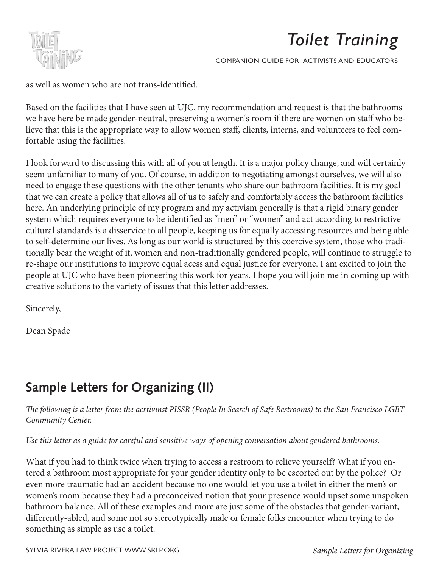

COMPANION GUIDE FOR ACTIVISTS AND EDUCATORS

as well as women who are not trans-identified.

we have here be made gender-neutral, preserving a women's room if there are women on staff who believe that this is the appropriate way to allow women staff, clients, interns, and volunteers to feel comfortable using the facilities.  $\alpha$  there doing the numbers. Based on the facilities that I have seen at UJC, my recommendation and request is that the bathrooms

might be the supplements to the video. The video of  $\frac{1}{2}$  supplements to the video. The video of  $\frac{1}{2}$  supplements to the video. The video of  $\frac{1}{2}$  supplements to the video. The video of  $\frac{1}{2}$  supplements seem unfamiliar to many of you. Of course, in addition to negotiating amongst ourselves, we will also need to engage these questions with the other tenants who share our bathroom facilities. It is my goal that we can create a policy that allows all of us to safely and comfortably access the bathroom facilities here. An underlying principle of my program and my activism generally is that a rigid binary gender system which requires everyone to be identified as "men" or "women" and act according to restrictive cultural standards is a disservice to all people, keeping us for equally accessing resources and being able Fand more candidated by a disservice to an people, neeping as for equally accessing researces and seng as to self-determine our lives. As long as our world is structured by this coercive system, those who traditionally bear the weight of it, women and non-traditionally gendered people, will continue to struggle to re-shape our institutions to improve equal acess and equal justice for everyone. I am excited to join the people at UJC who have been pioneering this work for years. I hope you will join me in coming up with creative solutions to the variety of issues that this letter addresses. I look forward to discussing this with all of you at length. It is a major policy change, and will certainly

Sincerely,

 $\Omega$  and  $\Omega$  start conversations not only about the start conversations on  $\Omega$  $\alpha$ al space  $\alpha$ Dean Spade

# **Sample Letters for Organizing (II)**

 $\sigma$  following is a letter from the acrtivinst PISSR (People In Search of Safe Restrooms) to the San Francisco *The following is a letter from the acrtivinst PISSR (People In Search of Safe Restrooms) to the San Francisco LGBT*<br>Community Center *Community Center.*

Use this letter as a guide for careful and sensitive ways of opening conversation about gendered bathrooms.

 $\overline{D}$   $\overline{D}$   $\overline{D}$   $\overline{D}$   $\overline{D}$   $\overline{D}$   $\overline{D}$   $\overline{D}$   $\overline{D}$   $\overline{D}$   $\overline{D}$   $\overline{D}$   $\overline{D}$   $\overline{D}$   $\overline{D}$   $\overline{D}$   $\overline{D}$   $\overline{D}$   $\overline{D}$   $\overline{D}$   $\overline{D}$   $\overline{D}$   $\overline{D}$   $\overline{D}$   $\overline{$ What if you had to think twice when trying to access a restroom to relieve yourself? What if you entered a bathroom most appropriate for your gender identity only to be escorted out by the police? Or even more traumatic had an accident because no one would let you use a toilet in either the men's or women's room because they had a preconceived notion that your presence would upset some unspoken bathroom balance. All of these examples and more are just some of the obstacles that gender-variant, differently-abled, and some not so stereotypically male or female folks encounter when trying to do something as simple as use a toilet.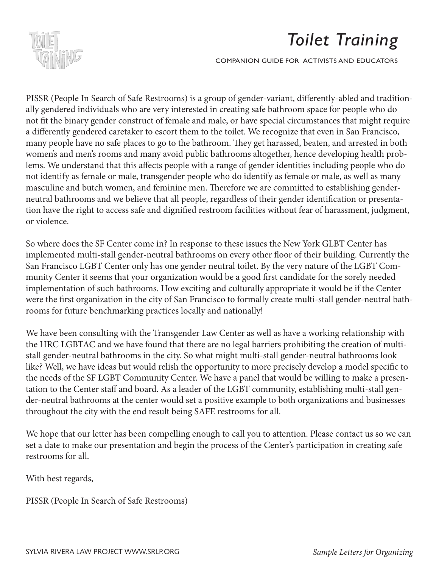

COMPANION GUIDE FOR ACTIVISTS AND EDUCATORS

PISSR (People In Search of Safe Restrooms) is a group of gender-variant, differently-abled and traditionnot fit the binary gender construct of female and male, or have special circumstances that might require the some useful information to the material information to the toilet. We recognize that even in San Francisco, education of the ducation is on the contribution of the contribution of the country, and countries the country, in the country, and countries the country, and countries the country, and countries the country, and countries many people have no safe places to go to the bathroom. They get harassed, beaten, and arrested in both women's and men's rooms and many avoid public bathrooms altogether, hence developing health probnot identify as female or male, transgender people who do identify as female or male, as well as many masculine and butch women, and feminine men. Therefore we are committed to establishing genderneutral bathrooms and we believe that all people, regardless of their gender identification or presenta-۔<br>the right to access safe and dignifie Sample Letters for Bathroom Activism  $\mathbb{R}$ ally gendered individuals who are very interested in creating safe bathroom space for people who do lems. We understand that this affects people with a range of gender identities including people who do tion have the right to access safe and dignified restroom facilities without fear of harassment, judgment, or violence.

 $\overline{a}$ implemented multi-stall gender-neutral bathrooms on every other floor of their building. Currently the San Francisco LGBT Center only has one gender neutral toilet. By the very nature of the LGBT Community Center it seems that your organization would be a good first candidate for the sorely needed implementation of such bathrooms. How exciting and culturally appropriate it would be if the Center were the first organization in the city of San Francisco to formally create multi-stall gender-neutral bathrooms for future benchmarking practices locally and nationally! So where does the SF Center come in? In response to these issues the New York GLBT Center has

 $T$  is the start conversations not only about the start conversations on  $T$  about the start conversations of  $T$ We have been consulting with the Transgender Law Center as well as have a working relationship with the HRC LGBTAC and we have found that there are no legal barriers prohibiting the creation of multistall gender-neutral bathrooms in the city. So what might multi-stall gender-neutral bathrooms look like? Well, we have ideas but would relish the opportunity to more precisely develop a model specific to the needs of the SF LGBT Community Center. We have a panel that would be willing to make a presentation to the Center staff and board. As a leader of the LGBT community, establishing multi-stall gender-neutral bathrooms at the center would set a positive example to both organizations and businesses<br>the center that the sites sith the center would knies SAEE water sees for all throughout the city with the end result being SAFE restrooms for all.

We hope that our letter has been compelling enough to call you to attention. Please contact us so we can restrooms for all. set a date to make our presentation and begin the process of the Center's participation in creating safe

With best regards,

PISSR (People In Search of Safe Restrooms)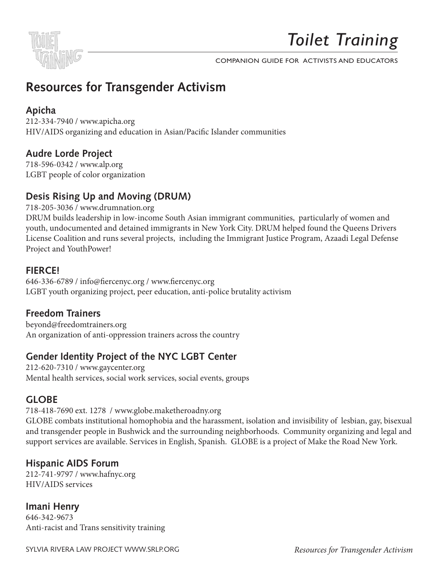

# **Resources for Transgender Activism**

## **Apicha**

Welcome to the *Toilet Training* Companion Guide for Activists and Educators. We hope 212-334-7940 / www.apicha.org  $t_{\rm H}$  by this will provide the source that  $\lambda$  sign (Decific Islander communities HIV/AIDS organizing and education in Asian/Pacific Islander communities

### $\alpha$  and tried to the questions asked by viewers to determine what kinds of informations of informations of informations of informations of informations of informations of informations of informations of informations of i might be helpful supplements to the video. **Audre Lorde Project**

LGBT people of color organization 718-596-0342 / www.alp.org

## Desis Rising Up and Moving (DRUM)

718-205-3036 / www.drumnation.org DRUM builds leadership in low-income South Asian immigrant communities, particularly of women and youth, undocumented and detained immigrants in New York City. DRUM helped found the Queens Drivers .<br>License Coalition and runs several projects, including the Immigrant Justice Program, Azaadi Legal Defense We have that the this violation starter and training tool for  $\alpha$  useful conversation starter and training tool for  $\alpha$ Project and YouthPower!

#### $\mathsf{C}\mathsf{F}$ **FIERCE!**

r rervee:<br>646-336-6789 / info@fiercenyc.org / www.fiercenyc.org  $\text{OPT}$  vonth organizing nuclear near education, entimalize huntality estiviem LGBT youth organizing project, peer education, anti-police brutality activism

### transphobic culture. **Freedom Trainers**

beyond@freedomtrainers.org An organization of anti-oppression trainers across the country

## **Gender Identity Project of the NYC LGBT Center**  $\blacksquare$

212-620-7310 / www.gaycenter.org Mental health services, social work services, social events, groups  $\frac{1}{2}$  into existing norms of  $\frac{1}{2}$ 

## **GLOBE**

We hope this information is helpful, and we look forward to hearing from you about how 718-418-7690 ext. 1278 / www.globe.maketheroadny.org

710-410-7090 Cxt. 1270 7 www.giooc.maketheroadhy.org<br>GLOBE combats institutional homophobia and the harassment, isolation and invisibility of lesbian, gay, bisexual and transgender people in Bushwick and the surrounding neighborhoods. Community organizing and legal and and support services are available. Services in English, Spanish. GLOBE is a project of Make the Road New York.

### Dean Spade **Hispanic AIDS Forum**

212-741-9797 / www.hafnyc.org HIV/AIDS services

**Imani Henry** 646-342-9673 Anti-racist and Trans sensitivity training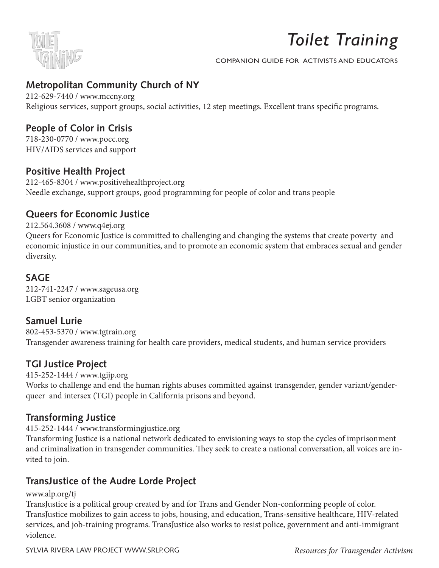

## **Metropolitan Community Church of NY**

212-629-7440 / www.mccny.org Religious services, support groups, social activities, 12 step meetings. Excellent trans specific programs.

## the some useful information to help you use this video as an organizing organizing organizing organizing organizing organizing organizing organizing organizing organizing organizing organizing organizing organizing organiz

educational tool in your community. We have screened *Toilet Training* across the country, 718-230-0770 / www.pocc.org HIV/AIDS services and support  $\frac{1}{2}$ 

## **Positive Health Project**

**1 OSILIVE TICATELT TOJCEL**<br>212-465-8304 / www.positivehealthproject.org  $D<sub>2</sub>U<sup>4</sup>$  www.positiveneamproject.org Needle exchange, support groups, good programming for people of color and trans people

### $\mathcal{L}$  and  $\mathcal{L}$  are survey in the survey of  $\mathcal{L}$ **Queers for Economic Justice**

212.564.3608 / www.q4ej.org Queers for Economic Justice is committed to challenging and changing the systems that create poverty and  $N$  hope that the a useful conversation starter and training tool for  $\alpha$  useful conversation starter and training tool for  $N$  and training tool for  $N$  and training tool for  $N$  and training tool for  $N$  and the starte economic injustice in our communities, and to promote an economic system that embraces sexual and gender diversity.

#### $\delta$ AGE sound a diverse set of trans identities and examine the trans identities and examine the set of trans in **SAGE**

intersections of transphobia, sexism, racism, economic injustice, ageism and ablism to 212-741-2247 / www.sageusa.org  $G_{\text{B}}$  demonstration generation  $\sigma$  culture. LGBT senior organization

## **Samuel Lurie**

This video, we have the conversations not only about the conversations not only about the conversation access, but the conversation of  $\mu$  $\frac{1}{2}$ also about the impact of all sex-sex-segregated facilities (shelters, jails and prisons, group  $\frac{1}{2}$ Transgender awareness training for health care providers, medical students, and human service providers 802-453-5370 / www.tgtrain.org

### is one of the most controversial and important fronts in the struggle to end gender identity discrimination, and we strongly believe that community education is key to dispelling **TGI Justice Project**

cultural myths and fears and establishing understanding about the struggles faced by 415-252-1444 / www.tgijp.org Works to challenge and end the human rights abuses committed against transgender, gender variant/genderqueer and intersex (TGI) people in California prisons and beyond.

## **Transforming Justice** with it was.

415-252-1444 / www.transformingjustice.org

Transforming Justice is a national network dedicated to envisioning ways to stop the cycles of imprisonment and erminant<br>vited to join. and criminalization in transgender communities. They seek to create a national conversation, all voices are in-

## **TransJustice of the Audre Lorde Project**

www.alp.org/tj

TransJustice is a political group created by and for Trans and Gender Non-conforming people of color. TransJustice mobilizes to gain access to jobs, housing, and education, Trans-sensitive healthcare, HIV-related services, and job-training programs. TransJustice also works to resist police, government and anti-immigrant violence.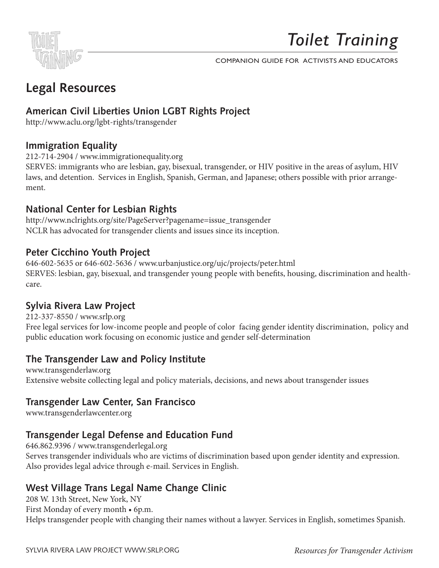

COMPANION GUIDE FOR ACTIVISTS AND EDUCATORS

## Dear Friend, **Legal Resources**

# American Civil Liberties Union LGBT Rights Project<br>http://www.eclu.org/labt.rights/transcorder

http://www.aclu.org/lgbt-rights/transgender

### educational tool in your community. We have screened *Toilet Training* across the country, **and tried to use the quality viewers to determine what kinds of information**  $\mathbf{F}$  **information**  $\mathbf{F}$  **information**  $\mathbf{F}$  **information**  $\mathbf{F}$  **in**  $\mathbf{F}$  **in**  $\mathbf{F}$  **in**  $\mathbf{F}$  **in**  $\mathbf{F}$  **in**  $\mathbf{F}$  **in**  $\mathbf{F}$  **i**

212-714-2904 / www.immigrationequality.org

laws, and detention. Services in English, Spanish, German, and Japanese; others possible with prior arrange-SERVES: immigrants who are lesbian, gay, bisexual, transgender, or HIV positive in the areas of asylum, HIV ment.

## **National Center for Lesbian Rights**

Sample Letters for Bathroom Activism http://www.nclrights.org/site/PageServer?pagename=issue\_transgender Resources for Education and Issues NCLR has advocated for transgender clients and issues since its inception.

## Peter Cicchino Youth Project<br>*Peter Cicchino Youth Project*

activists and educators doing work related to transgender communities and trans 646-602-5635 or 646-602-5636 / www.urbanjustice.org/ujc/projects/peter.html SERVES: lesbian, gay, bisexual, and transgender young people with benefits, housing, discrimination and healthintersections of the transphobia, sexism, racism, racism, racism, racism, economic injustice, ageism and ablis care.

## Sylvia Rivera Law Project

Free legal services for low-income people and people of color facing gender identity discrimination, policy and public education work focusing on economic justice and gender self-determination 212-337-8550 / www.srlp.org

## is one of the most controversial and important fronts in the struggle to end gender identity **The Transgender Law and Policy Institute**

discrimination, and we strong the strongly believe that community education is key to dispelling that community education is key to dispelling the strong service of the strong service of the strong service of the strong se cultural mythological muthological metalships and participate and the struggles faced by the struggles faced b<br>International mythological by the struggles factor of the struggles faced by the struggles faced by the strugg Extensive website collecting legal and policy materials, decisions, and news about transgender issues<br>

## We hope this information is helpful, and we look forward to hearing from you about how **Transgender Law Center, San Francisco**

www.transgenderlawcenter.org

## **Transgender Legal Defense and Education Fund**

Serves transgender individuals who are victims of discrimination based upon gender identity and expression. 646.862.9396 / www.transgenderlegal.org Also provides legal advice through e-mail. Services in English.

## **West Village Trans Legal Name Change Clinic**

208 W. 13th Street, New York, NY First Monday of every month • 6p.m. Helps transgender people with changing their names without a lawyer. Services in English, sometimes Spanish.